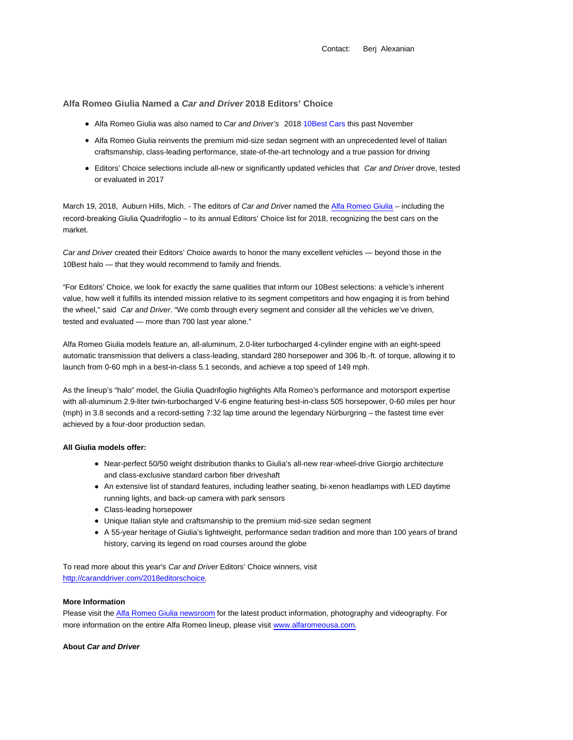Contact: Berj Alexanian

**Alfa Romeo Giulia Named a Car and Driver 2018 Editors' Choice**

- Alfa Romeo Giulia was also named to Car and Driver's 2018 10Best Cars this past November
- Alfa Romeo Giulia reinvents the premium mid-size sedan segment with an unprecedented level of Italian craftsmanship, class-leading performance, state-of-the-art technology and a true passion for driving
- Editors' Choice selections include all-new or significantly updated vehicles that Car and Driver drove, tested or evaluated in 2017

March 19, 2018, Auburn Hills, Mich. - The editors of Car and Driver named the Alfa Romeo Giulia – including the record-breaking Giulia Quadrifoglio – to its annual Editors' Choice list for 2018, recognizing the best cars on the market.

Car and Driver created their Editors' Choice awards to honor the many excellent vehicles — beyond those in the 10Best halo — that they would recommend to family and friends.

"For Editors' Choice, we look for exactly the same qualities that inform our 10Best selections: a vehicle's inherent value, how well it fulfills its intended mission relative to its segment competitors and how engaging it is from behind the wheel," said Car and Driver. "We comb through every segment and consider all the vehicles we've driven, tested and evaluated — more than 700 last year alone."

Alfa Romeo Giulia models feature an, all-aluminum, 2.0-liter turbocharged 4-cylinder engine with an eight-speed automatic transmission that delivers a class-leading, standard 280 horsepower and 306 lb.-ft. of torque, allowing it to launch from 0-60 mph in a best-in-class 5.1 seconds, and achieve a top speed of 149 mph.

As the lineup's "halo" model, the Giulia Quadrifoglio highlights Alfa Romeo's performance and motorsport expertise with all-aluminum 2.9-liter twin-turbocharged V-6 engine featuring best-in-class 505 horsepower, 0-60 miles per hour (mph) in 3.8 seconds and a record-setting 7:32 lap time around the legendary Nürburgring – the fastest time ever achieved by a four-door production sedan.

### **All Giulia models offer:**

- Near-perfect 50/50 weight distribution thanks to Giulia's all-new rear-wheel-drive Giorgio architecture and class-exclusive standard carbon fiber driveshaft
- An extensive list of standard features, including leather seating, bi-xenon headlamps with LED daytime running lights, and back-up camera with park sensors
- Class-leading horsepower
- Unique Italian style and craftsmanship to the premium mid-size sedan segment
- A 55-year heritage of Giulia's lightweight, performance sedan tradition and more than 100 years of brand history, carving its legend on road courses around the globe

To read more about this year's Car and Driver Editors' Choice winners, visit http://caranddriver.com/2018editorschoice.

# **More Information**

Please visit the Alfa Romeo Giulia newsroom for the latest product information, photography and videography. For more information on the entire Alfa Romeo lineup, please visit www.alfaromeousa.com.

#### **About Car and Driver**